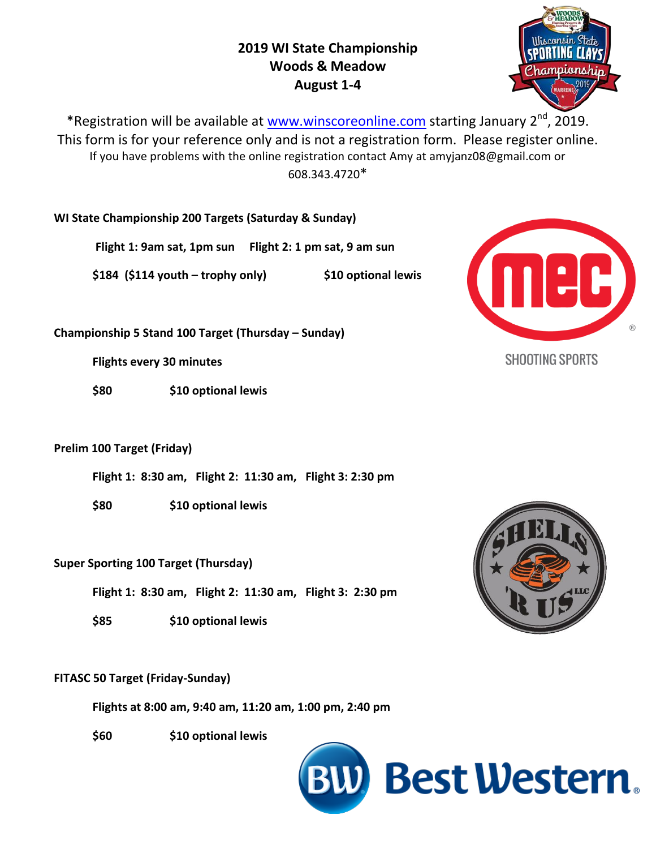# **2019 WI State Championship Woods & Meadow August 1-4**



\*Registration will be available at [www.winscoreonline.com](http://www.winscoreonline.com/) starting January 2<sup>nd</sup>, 2019. This form is for your reference only and is not a registration form. Please register online. If you have problems with the online registration contact Amy at amyjanz08@gmail.com or 608.343.4720\*

**WI State Championship 200 Targets (Saturday & Sunday)** 

**Flight 1: 9am sat, 1pm sun Flight 2: 1 pm sat, 9 am sun**

**\$184 (\$114 youth – trophy only) \$10 optional lewis**

**Championship 5 Stand 100 Target (Thursday – Sunday)**

**Flights every 30 minutes**

**\$80 \$10 optional lewis**

## **Prelim 100 Target (Friday)**

**Flight 1: 8:30 am, Flight 2: 11:30 am, Flight 3: 2:30 pm**

**\$80 \$10 optional lewis**

## **Super Sporting 100 Target (Thursday)**

**Flight 1: 8:30 am, Flight 2: 11:30 am, Flight 3: 2:30 pm**

**\$85 \$10 optional lewis**

## **FITASC 50 Target (Friday-Sunday)**

**Flights at 8:00 am, 9:40 am, 11:20 am, 1:00 pm, 2:40 pm**

**\$60 \$10 optional lewis**





**SHOOTING SPORTS**